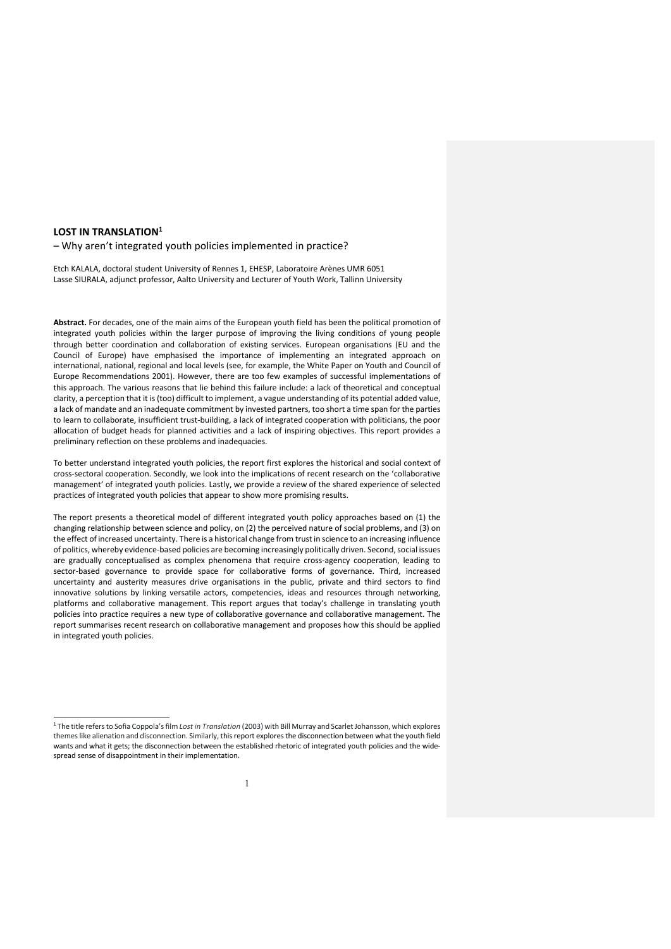## **LOST IN TRANSLATION1**

– Why aren't integrated youth policies implemented in practice?

Etch KALALA, doctoral student University of Rennes 1, EHESP, Laboratoire Arènes UMR 6051 Lasse SIURALA, adjunct professor, Aalto University and Lecturer of Youth Work, Tallinn University

**Abstract.** For decades, one of the main aims of the European youth field has been the political promotion of integrated youth policies within the larger purpose of improving the living conditions of young people through better coordination and collaboration of existing services. European organisations (EU and the Council of Europe) have emphasised the importance of implementing an integrated approach on international, national, regional and local levels (see, for example, the White Paper on Youth and Council of Europe Recommendations 2001). However, there are too few examples of successful implementations of this approach. The various reasons that lie behind this failure include: a lack of theoretical and conceptual clarity, a perception that it is (too) difficult to implement, a vague understanding of its potential added value, a lack of mandate and an inadequate commitment by invested partners, too short a time span for the parties to learn to collaborate, insufficient trust-building, a lack of integrated cooperation with politicians, the poor allocation of budget heads for planned activities and a lack of inspiring objectives. This report provides a preliminary reflection on these problems and inadequacies.

To better understand integrated youth policies, the report first explores the historical and social context of cross-sectoral cooperation. Secondly, we look into the implications of recent research on the 'collaborative management' of integrated youth policies. Lastly, we provide a review of the shared experience of selected practices of integrated youth policies that appear to show more promising results.

The report presents a theoretical model of different integrated youth policy approaches based on (1) the changing relationship between science and policy, on (2) the perceived nature of social problems, and (3) on the effect of increased uncertainty. There is a historical change from trust in science to an increasing influence of politics, whereby evidence-based policies are becoming increasingly politically driven. Second, social issues are gradually conceptualised as complex phenomena that require cross-agency cooperation, leading to sector-based governance to provide space for collaborative forms of governance. Third, increased uncertainty and austerity measures drive organisations in the public, private and third sectors to find innovative solutions by linking versatile actors, competencies, ideas and resources through networking, platforms and collaborative management. This report argues that today's challenge in translating youth policies into practice requires a new type of collaborative governance and collaborative management. The report summarises recent research on collaborative management and proposes how this should be applied in integrated youth policies.

<sup>1</sup> The title refers to Sofia Coppola's film *Lost in Translation* (2003) with Bill Murray and Scarlet Johansson, which explores themes like alienation and disconnection. Similarly, this report explores the disconnection between what the youth field wants and what it gets; the disconnection between the established rhetoric of integrated youth policies and the widespread sense of disappointment in their implementation.